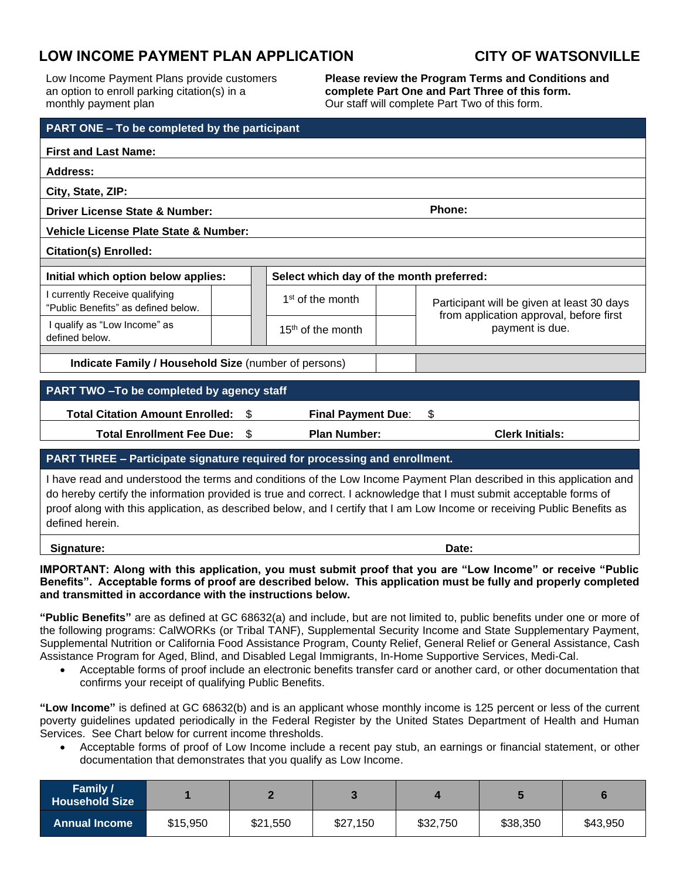## **LOW INCOME PAYMENT PLAN APPLICATION CITY OF WATSONVILLE**

Low Income Payment Plans provide customers an option to enroll parking citation(s) in a monthly payment plan

**Please review the Program Terms and Conditions and complete Part One and Part Three of this form.**  Our staff will complete Part Two of this form.

| PART ONE - To be completed by the participant                                                                                                                                                                                                                                                                                                                                                |    |                                          |  |                                                            |  |  |  |
|----------------------------------------------------------------------------------------------------------------------------------------------------------------------------------------------------------------------------------------------------------------------------------------------------------------------------------------------------------------------------------------------|----|------------------------------------------|--|------------------------------------------------------------|--|--|--|
| <b>First and Last Name:</b>                                                                                                                                                                                                                                                                                                                                                                  |    |                                          |  |                                                            |  |  |  |
| <b>Address:</b>                                                                                                                                                                                                                                                                                                                                                                              |    |                                          |  |                                                            |  |  |  |
| City, State, ZIP:                                                                                                                                                                                                                                                                                                                                                                            |    |                                          |  |                                                            |  |  |  |
| <b>Phone:</b><br><b>Driver License State &amp; Number:</b>                                                                                                                                                                                                                                                                                                                                   |    |                                          |  |                                                            |  |  |  |
| Vehicle License Plate State & Number:                                                                                                                                                                                                                                                                                                                                                        |    |                                          |  |                                                            |  |  |  |
| <b>Citation(s) Enrolled:</b>                                                                                                                                                                                                                                                                                                                                                                 |    |                                          |  |                                                            |  |  |  |
| Initial which option below applies:                                                                                                                                                                                                                                                                                                                                                          |    | Select which day of the month preferred: |  |                                                            |  |  |  |
| I currently Receive qualifying<br>"Public Benefits" as defined below.                                                                                                                                                                                                                                                                                                                        |    | 1 <sup>st</sup> of the month             |  | Participant will be given at least 30 days                 |  |  |  |
| I qualify as "Low Income" as<br>defined below.                                                                                                                                                                                                                                                                                                                                               |    | $15th$ of the month                      |  | from application approval, before first<br>payment is due. |  |  |  |
| Indicate Family / Household Size (number of persons)                                                                                                                                                                                                                                                                                                                                         |    |                                          |  |                                                            |  |  |  |
| PART TWO - To be completed by agency staff                                                                                                                                                                                                                                                                                                                                                   |    |                                          |  |                                                            |  |  |  |
| <b>Total Citation Amount Enrolled:</b><br>\$<br>\$<br><b>Final Payment Due:</b>                                                                                                                                                                                                                                                                                                              |    |                                          |  |                                                            |  |  |  |
| <b>Total Enrollment Fee Due:</b>                                                                                                                                                                                                                                                                                                                                                             | \$ | <b>Plan Number:</b>                      |  | <b>Clerk Initials:</b>                                     |  |  |  |
| PART THREE - Participate signature required for processing and enrollment.                                                                                                                                                                                                                                                                                                                   |    |                                          |  |                                                            |  |  |  |
| I have read and understood the terms and conditions of the Low Income Payment Plan described in this application and<br>do hereby certify the information provided is true and correct. I acknowledge that I must submit acceptable forms of<br>proof along with this application, as described below, and I certify that I am Low Income or receiving Public Benefits as<br>defined herein. |    |                                          |  |                                                            |  |  |  |
| Signature:                                                                                                                                                                                                                                                                                                                                                                                   |    |                                          |  | Date:                                                      |  |  |  |

**IMPORTANT: Along with this application, you must submit proof that you are "Low Income" or receive "Public Benefits". Acceptable forms of proof are described below. This application must be fully and properly completed and transmitted in accordance with the instructions below.**

**"Public Benefits"** are as defined at GC 68632(a) and include, but are not limited to, public benefits under one or more of the following programs: CalWORKs (or Tribal TANF), Supplemental Security Income and State Supplementary Payment, Supplemental Nutrition or California Food Assistance Program, County Relief, General Relief or General Assistance, Cash Assistance Program for Aged, Blind, and Disabled Legal Immigrants, In-Home Supportive Services, Medi-Cal.

• Acceptable forms of proof include an electronic benefits transfer card or another card, or other documentation that confirms your receipt of qualifying Public Benefits.

**"Low Income"** is defined at GC 68632(b) and is an applicant whose monthly income is 125 percent or less of the current poverty guidelines updated periodically in the Federal Register by the United States Department of Health and Human Services.See Chart below for current income thresholds.

• Acceptable forms of proof of Low Income include a recent pay stub, an earnings or financial statement, or other documentation that demonstrates that you qualify as Low Income.

| <b>Family /</b><br><b>Household Size</b> |          |          |          |          |          |          |
|------------------------------------------|----------|----------|----------|----------|----------|----------|
| <b>Annual Income</b>                     | \$15,950 | \$21,550 | \$27,150 | \$32,750 | \$38,350 | \$43,950 |